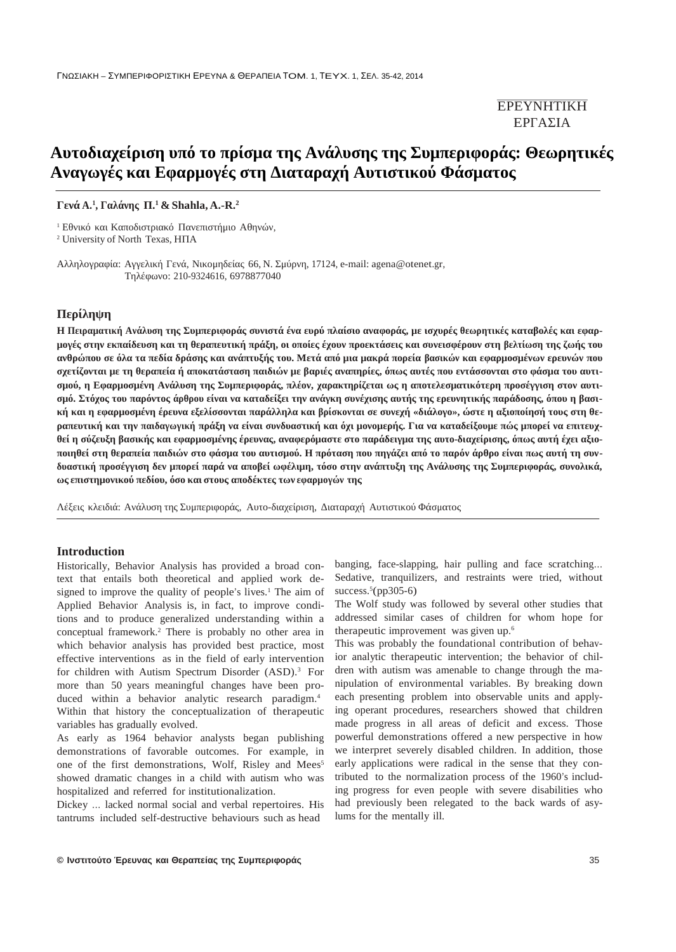| $\mu$ | $\mu$ :      |  |
|-------|--------------|--|
|       | $\mathbf{u}$ |  |

**Γενά A.<sup>1</sup> , Γαλάνης Π. <sup>1</sup> & Shahla, A.-R.<sup>2</sup>**

 $\mu$ , Eestimako karaali  $\mu$ , Eestimaali vaaraali vaaraali vaaraali vaaraali vaaraali vaaraali vaaraali vaaraali vaaraali vaaraali vaaraali vaaraali vaaraali vaaraali vaaraali vaaraali vaaraali vaaraali vaaraali vaaraali

<sup>2</sup> University of North Texas,

 $μ$  66,  $μ$ , 17124, e-mail: agena@otenet.gr,  $: 210-9324616, 6978877040$ 



### **Introduction**

Historically, Behavior Analysis has provided a broad context that entails both theoretical and applied work designed to improve the quality of people's lives.<sup>1</sup> The aim of Applied Behavior Analysis is, in fact, to improve conditions and to produce generalized understanding within a conceptual framework.<sup>2</sup> There is probably no other area in which behavior analysis has provided best practice, most effective interventions as in the field of early intervention for children with Autism Spectrum Disorder (ASD). <sup>3</sup> For more than 50 years meaningful changes have been produced within a behavior analytic research paradigm. 4 Within that history the conceptualization of therapeutic variables has gradually evolved.

As early as 1964 behavior analysts began publishing demonstrations of favorable outcomes. For example, in one of the first demonstrations, Wolf, Risley and Mees 5 showed dramatic changes in a child with autism who was hospitalized and referred for institutionalization.

Dickey … lacked normal social and verbal repertoires. His tantrums included self-destructive behaviours such as head

banging, face-slapping, hair pulling and face scratching… Sedative, tranquilizers, and restraints were tried, without success.<sup>5</sup>(pp305-6)

The Wolf study was followed by several other studies that addressed similar cases of children for whom hope for therapeutic improvement was given up. 6

This was probably the foundational contribution of behavior analytic therapeutic intervention; the behavior of children with autism was amenable to change through the manipulation of environmental variables. By breaking down each presenting problem into observable units and applying operant procedures, researchers showed that children made progress in all areas of deficit and excess. Those powerful demonstrations offered a new perspective in how we interpret severely disabled children. In addition, those early applications were radical in the sense that they contributed to the normalization process of the 1960's including progress for even people with severe disabilities who had previously been relegated to the back wards of asylums for the mentally ill.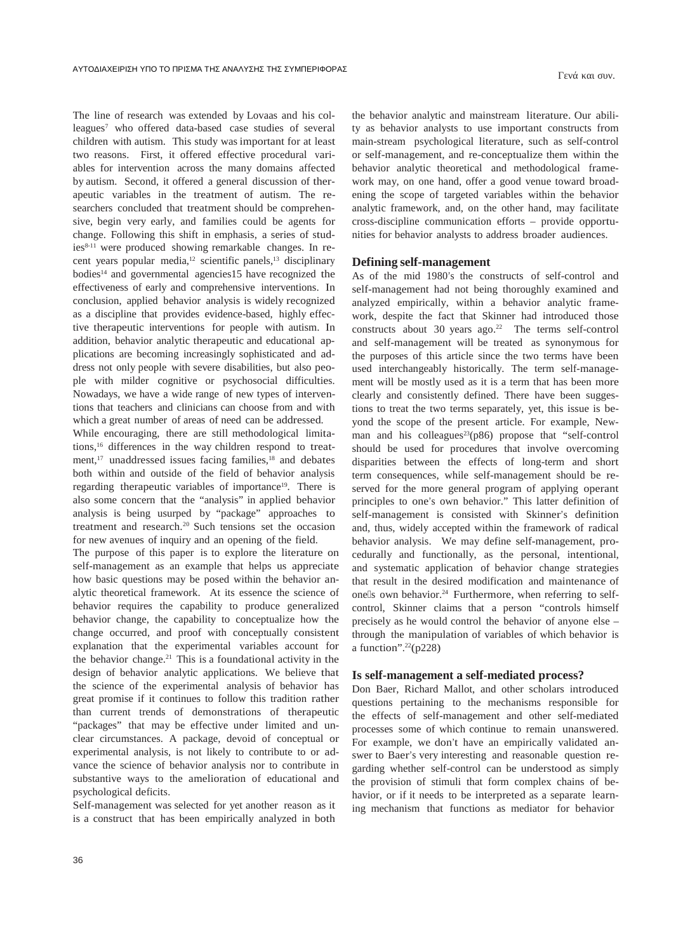The line of research was extended by Lovaas and his colleagues<sup>7</sup> who offered data-based case studies of several children with autism. This study was important for at least two reasons. First, it offered effective procedural variables for intervention across the many domains affected by autism. Second, it offered a general discussion of therapeutic variables in the treatment of autism. The researchers concluded that treatment should be comprehensive, begin very early, and families could be agents for change. Following this shift in emphasis, a series of studies8-11 were produced showing remarkable changes. In recent years popular media,<sup>12</sup> scientific panels,<sup>13</sup> disciplinary bodies<sup>14</sup> and governmental agencies15 have recognized the effectiveness of early and comprehensive interventions. In conclusion, applied behavior analysis is widely recognized as a discipline that provides evidence-based, highly effective therapeutic interventions for people with autism. In addition, behavior analytic therapeutic and educational applications are becoming increasingly sophisticated and address not only people with severe disabilities, but also people with milder cognitive or psychosocial difficulties. Nowadays, we have a wide range of new types of interventions that teachers and clinicians can choose from and with which a great number of areas of need can be addressed.

While encouraging, there are still methodological limitations,<sup>16</sup> differences in the way children respond to treatment,<sup>17</sup> unaddressed issues facing families,<sup>18</sup> and debates both within and outside of the field of behavior analysis regarding therapeutic variables of importance 19 . There is also some concern that the "analysis" in applied behavior analysis is being usurped by "package" approaches to treatment and research.<sup>20</sup> Such tensions set the occasion for new avenues of inquiry and an opening of the field.

The purpose of this paper is to explore the literature on self-management as an example that helps us appreciate how basic questions may be posed within the behavior analytic theoretical framework. At its essence the science of behavior requires the capability to produce generalized behavior change, the capability to conceptualize how the change occurred, and proof with conceptually consistent explanation that the experimental variables account for the behavior change.<sup>21</sup> This is a foundational activity in the design of behavior analytic applications. We believe that the science of the experimental analysis of behavior has great promise if it continues to follow this tradition rather than current trends of demonstrations of therapeutic "packages" that may be effective under limited and unclear circumstances. A package, devoid of conceptual or experimental analysis, is not likely to contribute to or advance the science of behavior analysis nor to contribute in substantive ways to the amelioration of educational and psychological deficits.

Self-management was selected for yet another reason as it is a construct that has been empirically analyzed in both the behavior analytic and mainstream literature. Our ability as behavior analysts to use important constructs from main-stream psychological literature, such as self-control or self-management, and re-conceptualize them within the behavior analytic theoretical and methodological framework may, on one hand, offer a good venue toward broadening the scope of targeted variables within the behavior analytic framework, and, on the other hand, may facilitate cross-discipline communication efforts – provide opportunities for behavior analysts to address broader audiences.

Γενά και συν.

## **Defining self-management**

As of the mid 1980's the constructs of self-control and self-management had not being thoroughly examined and analyzed empirically, within a behavior analytic framework, despite the fact that Skinner had introduced those constructs about 30 years ago.<sup>22</sup> The terms self-control and self-management will be treated as synonymous for the purposes of this article since the two terms have been used interchangeably historically. The term self-management will be mostly used as it is a term that has been more clearly and consistently defined. There have been suggestions to treat the two terms separately, yet, this issue is beyond the scope of the present article. For example, Newman and his colleagues<sup>23</sup>( $p86$ ) propose that "self-control should be used for procedures that involve overcoming disparities between the effects of long-term and short term consequences, while self-management should be reserved for the more general program of applying operant principles to one's own behavior." This latter definition of self-management is consisted with Skinner's definition and, thus, widely accepted within the framework of radical behavior analysis. We may define self-management, procedurally and functionally, as the personal, intentional, and systematic application of behavior change strategies that result in the desired modification and maintenance of one s own behavior.<sup>24</sup> Furthermore, when referring to selfcontrol, Skinner claims that a person "controls himself precisely as he would control the behavior of anyone else – through the manipulation of variables of which behavior is a function". <sup>22</sup>(p228)

## **Is self-management a self-mediated process?**

Don Baer, Richard Mallot, and other scholars introduced questions pertaining to the mechanisms responsible for the effects of self-management and other self-mediated processes some of which continue to remain unanswered. For example, we don't have an empirically validated answer to Baer's very interesting and reasonable question regarding whether self-control can be understood as simply the provision of stimuli that form complex chains of behavior, or if it needs to be interpreted as a separate learning mechanism that functions as mediator for behavior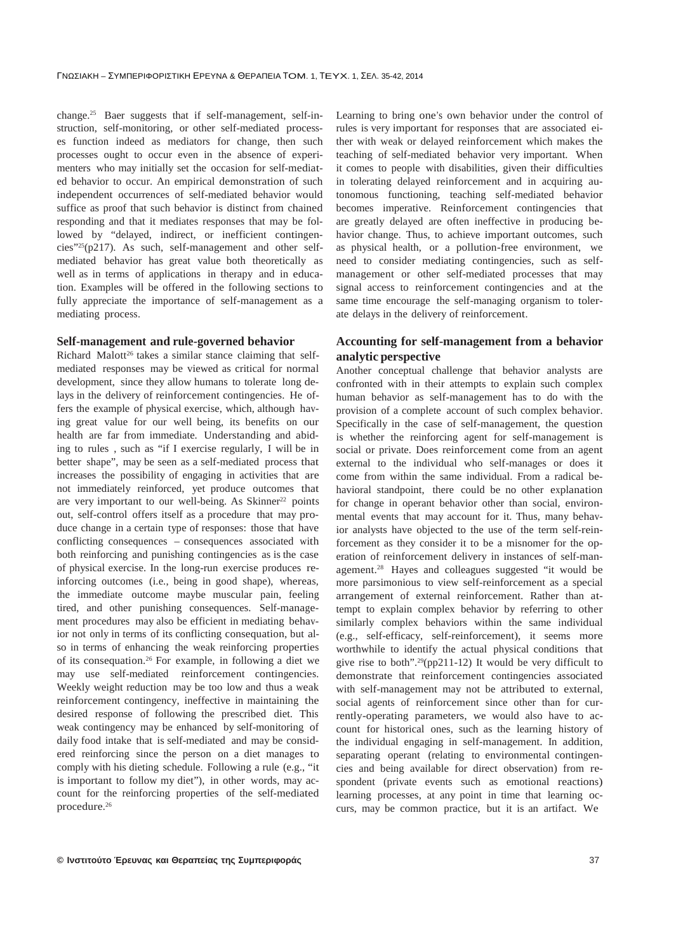change.<sup>25</sup> Baer suggests that if self-management, self-instruction, self-monitoring, or other self-mediated processes function indeed as mediators for change, then such processes ought to occur even in the absence of experimenters who may initially set the occasion for self-mediated behavior to occur. An empirical demonstration of such independent occurrences of self-mediated behavior would suffice as proof that such behavior is distinct from chained responding and that it mediates responses that may be followed by "delayed, indirect, or inefficient contingencies"25(p217). As such, self-management and other selfmediated behavior has great value both theoretically as well as in terms of applications in therapy and in education. Examples will be offered in the following sections to fully appreciate the importance of self-management as a mediating process.

### **Self-management and rule-governed behavior**

Richard Malott<sup>26</sup> takes a similar stance claiming that selfmediated responses may be viewed as critical for normal development, since they allow humans to tolerate long delays in the delivery of reinforcement contingencies. He offers the example of physical exercise, which, although having great value for our well being, its benefits on our health are far from immediate. Understanding and abiding to rules , such as "if I exercise regularly, I will be in better shape", may be seen as a self-mediated process that increases the possibility of engaging in activities that are not immediately reinforced, yet produce outcomes that are very important to our well-being. As Skinner<sup>22</sup> points out, self-control offers itself as a procedure that may produce change in a certain type of responses: those that have conflicting consequences – consequences associated with both reinforcing and punishing contingencies as is the case of physical exercise. In the long-run exercise produces reinforcing outcomes (i.e., being in good shape), whereas, the immediate outcome maybe muscular pain, feeling tired, and other punishing consequences. Self-management procedures may also be efficient in mediating behavior not only in terms of its conflicting consequation, but also in terms of enhancing the weak reinforcing properties of its consequation.<sup>26</sup> For example, in following a diet we may use self-mediated reinforcement contingencies. Weekly weight reduction may be too low and thus a weak reinforcement contingency, ineffective in maintaining the desired response of following the prescribed diet. This weak contingency may be enhanced by self-monitoring of daily food intake that is self-mediated and may be considered reinforcing since the person on a diet manages to comply with his dieting schedule. Following a rule (e.g., "it is important to follow my diet"), in other words, may account for the reinforcing properties of the self-mediated procedure. 26

Learning to bring one's own behavior under the control of rules is very important for responses that are associated either with weak or delayed reinforcement which makes the teaching of self-mediated behavior very important. When it comes to people with disabilities, given their difficulties in tolerating delayed reinforcement and in acquiring autonomous functioning, teaching self-mediated behavior becomes imperative. Reinforcement contingencies that are greatly delayed are often ineffective in producing behavior change. Thus, to achieve important outcomes, such as physical health, or a pollution-free environment, we need to consider mediating contingencies, such as selfmanagement or other self-mediated processes that may signal access to reinforcement contingencies and at the same time encourage the self-managing organism to tolerate delays in the delivery of reinforcement.

# **Accounting for self-management from a behavior analytic perspective**

Another conceptual challenge that behavior analysts are confronted with in their attempts to explain such complex human behavior as self-management has to do with the provision of a complete account of such complex behavior. Specifically in the case of self-management, the question is whether the reinforcing agent for self-management is social or private. Does reinforcement come from an agent external to the individual who self-manages or does it come from within the same individual. From a radical behavioral standpoint, there could be no other explanation for change in operant behavior other than social, environmental events that may account for it. Thus, many behavior analysts have objected to the use of the term self-reinforcement as they consider it to be a misnomer for the operation of reinforcement delivery in instances of self-management.<sup>28</sup> Hayes and colleagues suggested "it would be more parsimonious to view self-reinforcement as a special arrangement of external reinforcement. Rather than attempt to explain complex behavior by referring to other similarly complex behaviors within the same individual (e.g., self-efficacy, self-reinforcement), it seems more worthwhile to identify the actual physical conditions that give rise to both".<sup>29</sup>(pp211-12) It would be very difficult to demonstrate that reinforcement contingencies associated with self-management may not be attributed to external, social agents of reinforcement since other than for currently-operating parameters, we would also have to account for historical ones, such as the learning history of the individual engaging in self-management. In addition, separating operant (relating to environmental contingencies and being available for direct observation) from respondent (private events such as emotional reactions) learning processes, at any point in time that learning occurs, may be common practice, but it is an artifact. We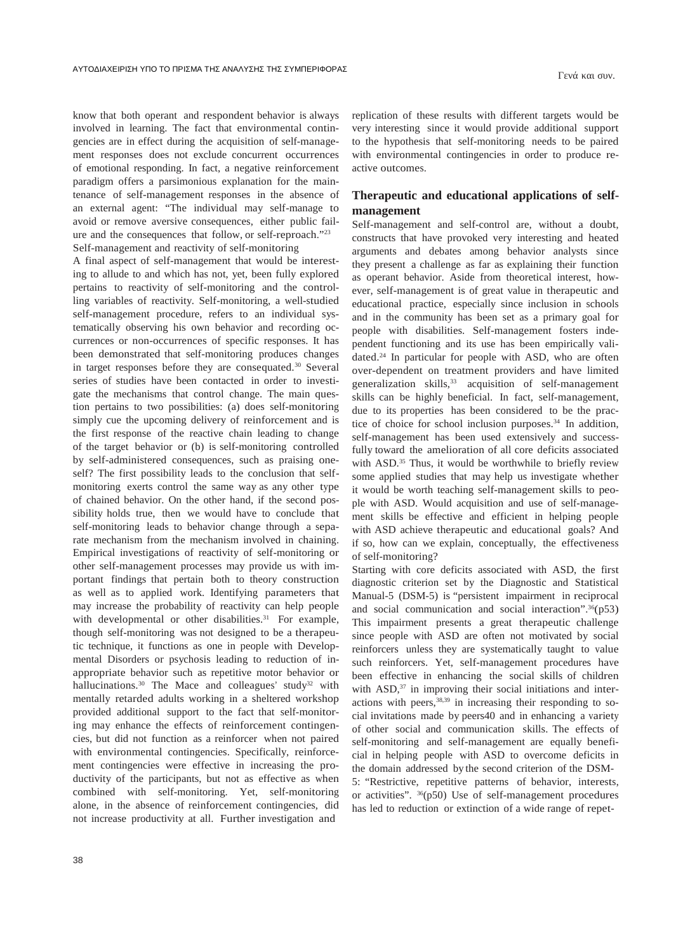know that both operant and respondent behavior is always involved in learning. The fact that environmental contingencies are in effect during the acquisition of self-management responses does not exclude concurrent occurrences of emotional responding. In fact, a negative reinforcement paradigm offers a parsimonious explanation for the maintenance of self-management responses in the absence of an external agent: "The individual may self-manage to avoid or remove aversive consequences, either public failure and the consequences that follow, or self-reproach." 23 Self-management and reactivity of self-monitoring

A final aspect of self-management that would be interesting to allude to and which has not, yet, been fully explored pertains to reactivity of self-monitoring and the controlling variables of reactivity. Self-monitoring, a well-studied self-management procedure, refers to an individual systematically observing his own behavior and recording occurrences or non-occurrences of specific responses. It has been demonstrated that self-monitoring produces changes in target responses before they are consequated.<sup>30</sup> Several series of studies have been contacted in order to investigate the mechanisms that control change. The main question pertains to two possibilities: (a) does self-monitoring simply cue the upcoming delivery of reinforcement and is the first response of the reactive chain leading to change of the target behavior or (b) is self-monitoring controlled by self-administered consequences, such as praising oneself? The first possibility leads to the conclusion that selfmonitoring exerts control the same way as any other type of chained behavior. On the other hand, if the second possibility holds true, then we would have to conclude that self-monitoring leads to behavior change through a separate mechanism from the mechanism involved in chaining. Empirical investigations of reactivity of self-monitoring or other self-management processes may provide us with important findings that pertain both to theory construction as well as to applied work. Identifying parameters that may increase the probability of reactivity can help people with developmental or other disabilities.<sup>31</sup> For example, though self-monitoring was not designed to be a therapeutic technique, it functions as one in people with Developmental Disorders or psychosis leading to reduction of inappropriate behavior such as repetitive motor behavior or hallucinations.<sup>30</sup> The Mace and colleagues' study<sup>32</sup> with mentally retarded adults working in a sheltered workshop provided additional support to the fact that self-monitoring may enhance the effects of reinforcement contingencies, but did not function as a reinforcer when not paired with environmental contingencies. Specifically, reinforcement contingencies were effective in increasing the productivity of the participants, but not as effective as when combined with self-monitoring. Yet, self-monitoring alone, in the absence of reinforcement contingencies, did not increase productivity at all. Further investigation and

replication of these results with different targets would be very interesting since it would provide additional support to the hypothesis that self-monitoring needs to be paired with environmental contingencies in order to produce reactive outcomes.

Γενά και συν.

# **Therapeutic and educational applications of selfmanagement**

Self-management and self-control are, without a doubt, constructs that have provoked very interesting and heated arguments and debates among behavior analysts since they present a challenge as far as explaining their function as operant behavior. Aside from theoretical interest, however, self-management is of great value in therapeutic and educational practice, especially since inclusion in schools and in the community has been set as a primary goal for people with disabilities. Self-management fosters independent functioning and its use has been empirically validated.<sup>24</sup> In particular for people with ASD, who are often over-dependent on treatment providers and have limited generalization skills,<sup>33</sup> acquisition of self-management skills can be highly beneficial. In fact, self-management, due to its properties has been considered to be the practice of choice for school inclusion purposes.<sup>34</sup> In addition, self-management has been used extensively and successfully toward the amelioration of all core deficits associated with ASD.<sup>35</sup> Thus, it would be worthwhile to briefly review some applied studies that may help us investigate whether it would be worth teaching self-management skills to people with ASD. Would acquisition and use of self-management skills be effective and efficient in helping people with ASD achieve therapeutic and educational goals? And if so, how can we explain, conceptually, the effectiveness of self-monitoring?

Starting with core deficits associated with ASD, the first diagnostic criterion set by the Diagnostic and Statistical Manual-5 (DSM-5) is "persistent impairment in reciprocal and social communication and social interaction". <sup>36</sup>(p53) This impairment presents a great therapeutic challenge since people with ASD are often not motivated by social reinforcers unless they are systematically taught to value such reinforcers. Yet, self-management procedures have been effective in enhancing the social skills of children with ASD,<sup>37</sup> in improving their social initiations and interactions with peers, $38,39$  in increasing their responding to social invitations made by peers40 and in enhancing a variety of other social and communication skills. The effects of self-monitoring and self-management are equally beneficial in helping people with ASD to overcome deficits in the domain addressed by the second criterion of the DSM-5: "Restrictive, repetitive patterns of behavior, interests, or activities". <sup>36</sup>(p50) Use of self-management procedures has led to reduction or extinction of a wide range of repet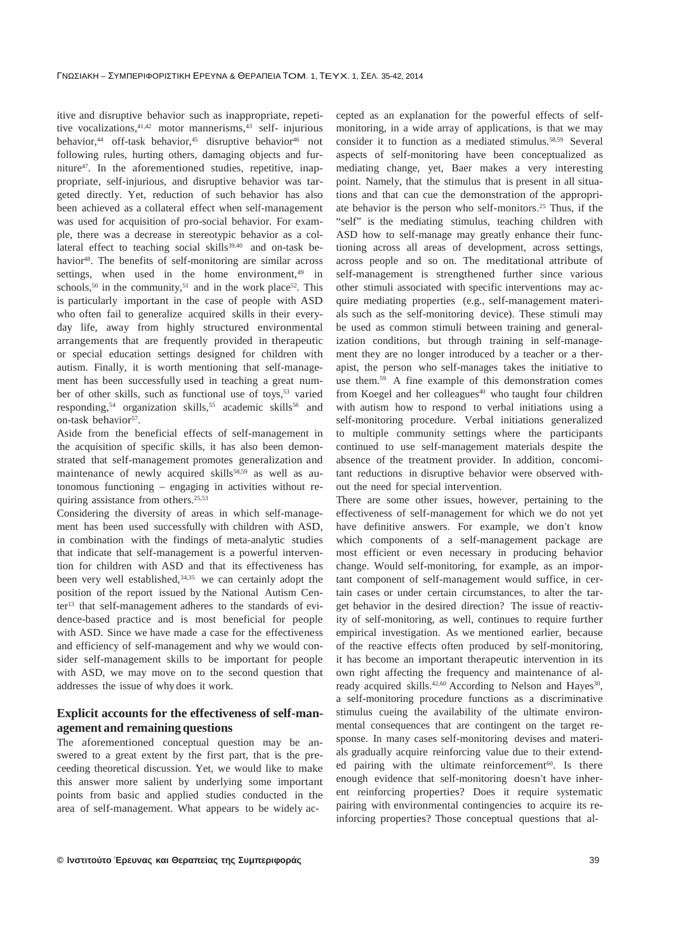itive and disruptive behavior such as inappropriate, repetitive vocalizations, <sup>41,42</sup> motor mannerisms, <sup>43</sup> self- injurious behavior,<sup>44</sup> off-task behavior,<sup>45</sup> disruptive behavior<sup>46</sup> not following rules, hurting others, damaging objects and furniture<sup>47</sup> . In the aforementioned studies, repetitive, inappropriate, self-injurious, and disruptive behavior was targeted directly. Yet, reduction of such behavior has also been achieved as a collateral effect when self-management was used for acquisition of pro-social behavior. For example, there was a decrease in stereotypic behavior as a collateral effect to teaching social skills<sup>39,40</sup> and on-task behavior<sup>48</sup>. The benefits of self-monitoring are similar across settings, when used in the home environment, $49$  in schools,<sup>50</sup> in the community,<sup>51</sup> and in the work place<sup>52</sup>. This is particularly important in the case of people with ASD who often fail to generalize acquired skills in their everyday life, away from highly structured environmental arrangements that are frequently provided in therapeutic or special education settings designed for children with autism. Finally, it is worth mentioning that self-management has been successfully used in teaching a great number of other skills, such as functional use of toys,<sup>53</sup> varied responding,<sup>54</sup> organization skills,<sup>55</sup> academic skills<sup>56</sup> and on-task behavior 57 .

Aside from the beneficial effects of self-management in the acquisition of specific skills, it has also been demonstrated that self-management promotes generalization and maintenance of newly acquired skills<sup>58,59</sup> as well as autonomous functioning – engaging in activities without requiring assistance from others. 25,53

Considering the diversity of areas in which self-management has been used successfully with children with ASD, in combination with the findings of meta-analytic studies that indicate that self-management is a powerful intervention for children with ASD and that its effectiveness has been very well established,<sup>34,35</sup> we can certainly adopt the position of the report issued by the National Autism Center<sup>13</sup> that self-management adheres to the standards of evidence-based practice and is most beneficial for people with ASD. Since we have made a case for the effectiveness and efficiency of self-management and why we would consider self-management skills to be important for people with ASD, we may move on to the second question that addresses the issue of why does it work.

## **Explicit accounts for the effectiveness of self-management and remaining questions**

The aforementioned conceptual question may be answered to a great extent by the first part, that is the preceeding theoretical discussion. Yet, we would like to make this answer more salient by underlying some important points from basic and applied studies conducted in the area of self-management. What appears to be widely accepted as an explanation for the powerful effects of selfmonitoring, in a wide array of applications, is that we may consider it to function as a mediated stimulus.<sup>58,59</sup> Several aspects of self-monitoring have been conceptualized as mediating change, yet, Baer makes a very interesting point. Namely, that the stimulus that is present in all situations and that can cue the demonstration of the appropriate behavior is the person who self-monitors.<sup>25</sup> Thus, if the "self" is the mediating stimulus, teaching children with ASD how to self-manage may greatly enhance their functioning across all areas of development, across settings, across people and so on. The meditational attribute of self-management is strengthened further since various other stimuli associated with specific interventions may acquire mediating properties (e.g., self-management materials such as the self-monitoring device). These stimuli may be used as common stimuli between training and generalization conditions, but through training in self-management they are no longer introduced by a teacher or a therapist, the person who self-manages takes the initiative to use them.<sup>59</sup> A fine example of this demonstration comes from Koegel and her colleagues<sup>40</sup> who taught four children with autism how to respond to verbal initiations using a self-monitoring procedure. Verbal initiations generalized to multiple community settings where the participants continued to use self-management materials despite the absence of the treatment provider. In addition, concomitant reductions in disruptive behavior were observed without the need for special intervention.

There are some other issues, however, pertaining to the effectiveness of self-management for which we do not yet have definitive answers. For example, we don't know which components of a self-management package are most efficient or even necessary in producing behavior change. Would self-monitoring, for example, as an important component of self-management would suffice, in certain cases or under certain circumstances, to alter the target behavior in the desired direction? The issue of reactivity of self-monitoring, as well, continues to require further empirical investigation. As we mentioned earlier, because of the reactive effects often produced by self-monitoring, it has become an important therapeutic intervention in its own right affecting the frequency and maintenance of already acquired skills.<sup>42,60</sup> According to Nelson and Hayes<sup>30</sup>, a self-monitoring procedure functions as a discriminative stimulus cueing the availability of the ultimate environmental consequences that are contingent on the target response. In many cases self-monitoring devises and materials gradually acquire reinforcing value due to their extended pairing with the ultimate reinforcement<sup>60</sup>. Is there enough evidence that self-monitoring doesn't have inherent reinforcing properties? Does it require systematic pairing with environmental contingencies to acquire its reinforcing properties? Those conceptual questions that al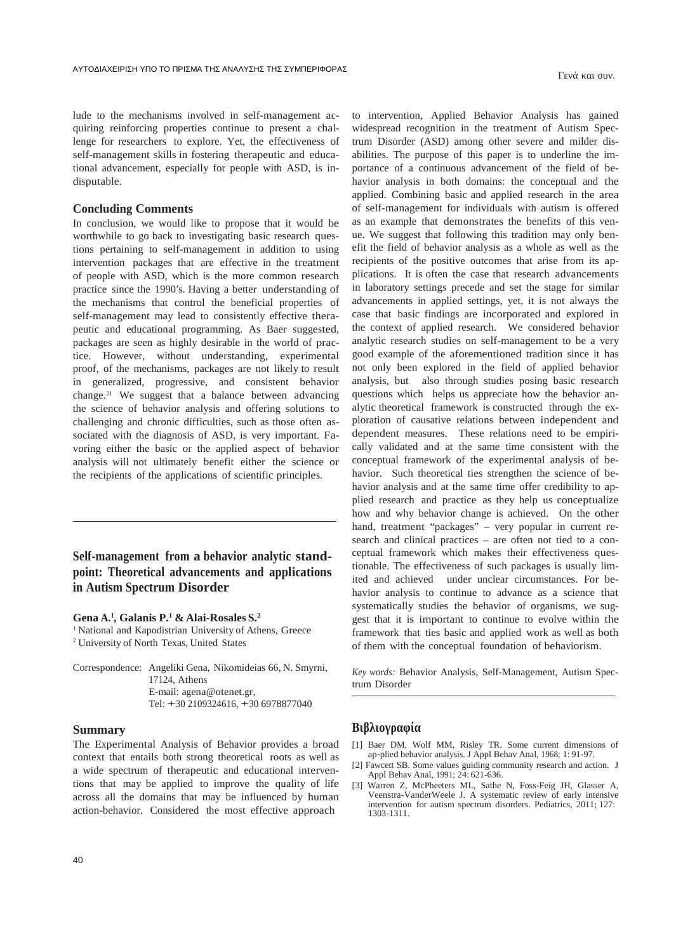lude to the mechanisms involved in self-management acquiring reinforcing properties continue to present a challenge for researchers to explore. Yet, the effectiveness of self-management skills in fostering therapeutic and educational advancement, especially for people with ASD, is indisputable.

## **Concluding Comments**

In conclusion, we would like to propose that it would be worthwhile to go back to investigating basic research questions pertaining to self-management in addition to using intervention packages that are effective in the treatment of people with ASD, which is the more common research practice since the 1990's. Having a better understanding of the mechanisms that control the beneficial properties of self-management may lead to consistently effective therapeutic and educational programming. As Baer suggested, packages are seen as highly desirable in the world of practice. However, without understanding, experimental proof, of the mechanisms, packages are not likely to result in generalized, progressive, and consistent behavior change.<sup>21</sup> We suggest that a balance between advancing the science of behavior analysis and offering solutions to challenging and chronic difficulties, such as those often associated with the diagnosis of ASD, is very important. Favoring either the basic or the applied aspect of behavior analysis will not ultimately benefit either the science or the recipients of the applications of scientific principles.

**Self-management from a behavior analytic standpoint: Theoretical advancements and applications in Autism Spectrum Disorder**

**Gena A.<sup>1</sup> , Galanis P.<sup>1</sup> & Alai-Rosales S.<sup>2</sup>**

<sup>1</sup> National and Kapodistrian University of Athens, Greece <sup>2</sup> University of North Texas, United States

Correspondence: Angeliki Gena, Nikomideias 66, N. Smyrni, 17124, Athens E-mail: agena@otenet.gr, el: +30 2109324616, +30 6978877040

## **Summary**

The Experimental Analysis of Behavior provides a broad context that entails both strong theoretical roots as well as a wide spectrum of therapeutic and educational interventions that may be applied to improve the quality of life across all the domains that may be influenced by human action-behavior. Considered the most effective approach

to intervention, Applied Behavior Analysis has gained widespread recognition in the treatment of Autism Spectrum Disorder (ASD) among other severe and milder disabilities. The purpose of this paper is to underline the importance of a continuous advancement of the field of behavior analysis in both domains: the conceptual and the applied. Combining basic and applied research in the area of self-management for individuals with autism is offered as an example that demonstrates the benefits of this venue. We suggest that following this tradition may only benefit the field of behavior analysis as a whole as well as the recipients of the positive outcomes that arise from its applications. It is often the case that research advancements in laboratory settings precede and set the stage for similar advancements in applied settings, yet, it is not always the case that basic findings are incorporated and explored in the context of applied research. We considered behavior analytic research studies on self-management to be a very good example of the aforementioned tradition since it has not only been explored in the field of applied behavior analysis, but also through studies posing basic research questions which helps us appreciate how the behavior analytic theoretical framework is constructed through the exploration of causative relations between independent and dependent measures. These relations need to be empirically validated and at the same time consistent with the conceptual framework of the experimental analysis of behavior. Such theoretical ties strengthen the science of behavior analysis and at the same time offer credibility to applied research and practice as they help us conceptualize how and why behavior change is achieved. On the other hand, treatment "packages" – very popular in current research and clinical practices – are often not tied to a conceptual framework which makes their effectiveness questionable. The effectiveness of such packages is usually limited and achieved under unclear circumstances. For behavior analysis to continue to advance as a science that systematically studies the behavior of organisms, we suggest that it is important to continue to evolve within the framework that ties basic and applied work as well as both of them with the conceptual foundation of behaviorism.

Γενά και συν.

*Key words:* Behavior Analysis, Self-Management, Autism Spectrum Disorder

- [1] Baer DM, Wolf MM, Risley TR. Some current dimensions of ap¬plied behavior analysis. J Appl Behav Anal, 1968; 1: 91-97.
- [2] Fawcett SB. Some values guiding community research and action. J Appl Behav Anal, 1991; 24: 621-636.
- [3] Warren Z, McPheeters ML, Sathe N, Foss-Feig JH, Glasser A, Veenstra-VanderWeele J. A systematic review of early intensive intervention for autism spectrum disorders. Pediatrics, 2011; 127: 1303-1311.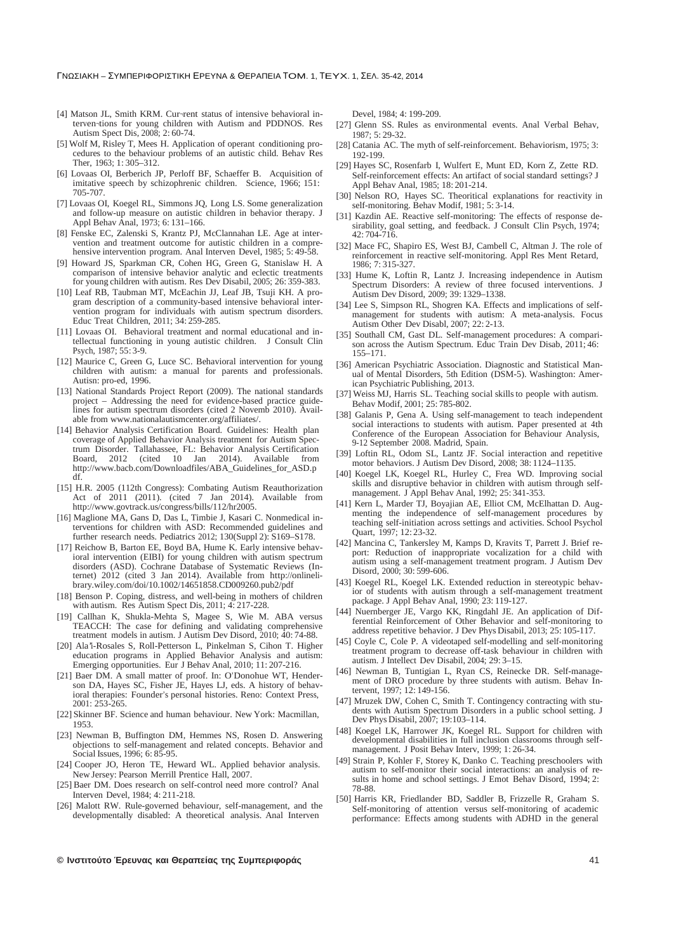$-$  8 T . 1, T . 1, 35-42, 2014

- [4] Matson JL, Smith KRM. Cur-rent status of intensive behavioral interven¬tions for young children with Autism and PDDNOS. Res Autism Spect Dis, 2008; 2: 60-74.
- [5] Wolf M, Risley T, Mees H. Application of operant conditioning procedures to the behaviour problems of an autistic child. Behav Res Ther, 1963; 1: 305–312.
- [6] Lovaas OI, Berberich JP, Perloff BF, Schaeffer B. Acquisition of imitative speech by schizophrenic children. Science, 1966; 151: 705-707.
- [7] Lovaas OI, Koegel RL, Simmons JQ, Long LS. Some generalization and follow-up measure on autistic children in behavior therapy. J Appl Behav Anal, 1973; 6: 131–166.
- Fenske EC, Zalenski S, Krantz PJ, McClannahan LE. Age at intervention and treatment outcome for autistic children in a comprehensive intervention program. Anal Interven Devel, 1985; 5: 49-58.
- [9] Howard JS, Sparkman CR, Cohen HG, Green G, Stanislaw H. A comparison of intensive behavior analytic and eclectic treatments for young children with autism. Res Dev Disabil, 2005; 26: 359-383.
- [10] Leaf RB, Taubman MT, McEachin JJ, Leaf JB, Tsuji KH. A program description of a community-based intensive behavioral intervention program for individuals with autism spectrum disorders. Educ Treat Children, 2011; 34: 259-285.
- [11] Lovaas OI. Behavioral treatment and normal educational and intellectual functioning in young autistic children. J Consult Clin Psych, 1987; 55: 3-9.
- [12] Maurice C, Green G, Luce SC. Behavioral intervention for young children with autism: a manual for parents and professionals. Autisn: pro-ed, 1996.
- [13] National Standards Project Report (2009). The national standards project – Addressing the need for evidence-based practice guidelines for autism spectrum disorders (cited 2 Novemb 2010). Available from www.nationalautismcenter.org/affiliates/.
- [14] Behavior Analysis Certification Board. Guidelines: Health plan coverage of Applied Behavior Analysis treatment for Autism Spectrum Disorder. Tallahassee, FL: Behavior Analysis Certification Board, 2012 (cited 10 Jan [2014\).](http://www.nationalautismcenter.org/affiliates/) Available from http://www.bacb.com/Downloadfiles/ABA\_Guidelines\_for\_ASD.p df.
- [15] H.R. 2005 (112th Congress): Combating Autism Reauthorization Act of  $2011$   $(2011)$ . (cited  $7$  Jan  $2014$ ). Available from ht[tp://www.govtrack.us/congress/bills/112/hr2005.](http://www.bacb.com/Downloadfiles/ABA_Guidelines_for_ASD.p)
- [16] Maglione MA, Gans D, Das L, Timbie J, Kasari C. Nonmedical interventions for children with ASD: Recommended guidelines and further research needs. Pediatrics 2012; 130(Suppl 2): S169–S178.
- [17] Reichow B, Barton EE, Boyd BA, Hume K, Early intensive behavioral intervention (EIBI) for young children with autism spectrum disorders (ASD). Cochrane Database of Systematic Reviews (In-ternet) 2012 (cited 3 Jan 2014). Available from http://onlinelibrary.wiley.com/doi/10.1002/14651858.CD009260.pub2/pdf
- [18] Benson P. Coping, distress, and well-being in mothers of children with autism. Res Autism Spect Dis, 2011; 4: 217-228.
- [19] Callhan K, Shukla-Mehta S, Magee S, Wie M. AB[A versus](http://onlineli-/) TEACCH: The case for defining and validating comprehensive treatment models in autism. J Autism Dev Disord, 2010; 40: 74-88.
- [20] Ala'i-Rosales S, Roll-Petterson L, Pinkelman S, Cihon T. Higher education programs in Applied Behavior Analysis and autism: Emerging opportunities. Eur J Behav Anal, 2010; 11: 207-216.
- [21] Baer DM. A small matter of proof. In: O'Donohue WT, Henderson DA, Hayes SC, Fisher JE, Hayes LJ, eds. A history of behavioral therapies: Founder's personal histories. Reno: Context Press, 2001: 253-265.
- [22] Skinner BF. Science and human behaviour. New York: Macmillan, 1953.
- [23] Newman B, Buffington DM, Hemmes NS, Rosen D. Answering objections to self-management and related concepts. Behavior and Social Issues, 1996; 6: 85-95.
- [24] Cooper JO, Heron TE, Heward WL. Applied behavior analysis. New Jersey: Pearson Merrill Prentice Hall, 2007.
- [25] Baer DM. Does research on self-control need more control? Anal Interven Devel, 1984; 4: 211-218.
- [26] Malott RW. Rule-governed behaviour, self-management, and the developmentally disabled: A theoretical analysis. Anal Interven

Devel, 1984; 4: 199-209.

- [27] Glenn SS. Rules as environmental events. Anal Verbal Behav, 1987; 5: 29-32.
- [28] Catania AC. The myth of self-reinforcement. Behaviorism, 1975; 3: 192-199.
- [29] Hayes SC, Rosenfarb I, Wulfert E, Munt ED, Korn Z, Zette RD. Self-reinforcement effects: An artifact of social standard settings? J Appl Behav Anal, 1985; 18: 201-214.
- [30] Nelson RO, Hayes SC. Theoritical explanations for reactivity in self-monitoring. Behav Modif, 1981; 5: 3-14.
- [31] Kazdin AE. Reactive self-monitoring: The effects of response desirability, goal setting, and feedback. J Consult Clin Psych, 1974; 42: 704-716.
- [32] Mace FC, Shapiro ES, West BJ, Cambell C, Altman J. The role of reinforcement in reactive self-monitoring. Appl Res Ment Retard, 1986; 7: 315-327.
- [33] Hume K, Loftin R, Lantz J. Increasing independence in Autism Spectrum Disorders: A review of three focused interventions. J Autism Dev Disord, 2009; 39: 1329–1338.
- [34] Lee S, Simpson RL, Shogren KA. Effects and implications of selfmanagement for students with autism: A meta-analysis. Focus Autism Other Dev Disabl, 2007; 22: 2-13.
- [35] Southall CM, Gast DL. Self-management procedures: A comparison across the Autism Spectrum. Educ Train Dev Disab, 2011; 46: 155–171.
- [36] American Psychiatric Association. Diagnostic and Statistical Manual of Mental Disorders, 5th Edition (DSM-5). Washington: American Psychiatric Publishing, 2013.
- [37] Weiss MJ, Harris SL. Teaching social skills to people with autism. Behav Modif, 2001; 25: 785-802.
- [38] Galanis P, Gena A. Using self-management to teach independent social interactions to students with autism. Paper presented at 4th Conference of the European Association for Behaviour Analysis, 9-12 September 2008. Madrid, Spain.
- [39] Loftin RL, Odom SL, Lantz JF. Social interaction and repetitive motor behaviors. J Autism Dev Disord, 2008; 38: 1124–1135.
- [40] Koegel LK, Koegel RL, Hurley C, Frea WD. Improving social skills and disruptive behavior in children with autism through selfmanagement. J Appl Behav Anal, 1992; 25: 341-353.
- [41] Kern L, Marder TJ, Boyajian AE, Elliot CM, McElhattan D. Augmenting the independence of self-management procedures by teaching self-initiation across settings and activities. School Psychol Quart, 1997; 12: 23-32.
- [42] Mancina C, Tankersley M, Kamps D, Kravits T, Parrett J. Brief report: Reduction of inappropriate vocalization for a child with autism using a self-management treatment program. J Autism Dev Disord, 2000; 30: 599-606.
- [43] Koegel RL, Koegel LK. Extended reduction in stereotypic behavior of students with autism through a self-management treatment package. J Appl Behav Anal, 1990; 23: 119-127.
- [44] Nuernberger JE, Vargo KK, Ringdahl JE. An application of Differential Reinforcement of Other Behavior and self-monitoring to address repetitive behavior. J Dev Phys Disabil, 2013; 25: 105-117.
- [45] Coyle C, Cole P. A videotaped self-modelling and self-monitoring treatment program to decrease off-task behaviour in children with autism. J Intellect Dev Disabil, 2004; 29: 3–15.
- [46] Newman B, Tuntigian L, Ryan CS, Reinecke DR. Self-management of DRO procedure by three students with autism. Behav Intervent, 1997; 12: 149-156.
- [47] Mruzek DW, Cohen C, Smith T. Contingency contracting with students with Autism Spectrum Disorders in a public school setting. J Dev Phys Disabil, 2007; 19:103–114.
- [48] Koegel LK, Harrower JK, Koegel RL. Support for children with developmental disabilities in full inclusion classrooms through selfmanagement. J Posit Behav Interv, 1999; 1: 26-34.
- [49] Strain P, Kohler F, Storey K, Danko C. Teaching preschoolers with autism to self-monitor their social interactions: an analysis of results in home and school settings. J Emot Behav Disord, 1994; 2: 78-88.
- [50] Harris KR, Friedlander BD, Saddler B, Frizzelle R, Graham S. Self-monitoring of attention versus self-monitoring of academic performance: Effects among students with ADHD in the general